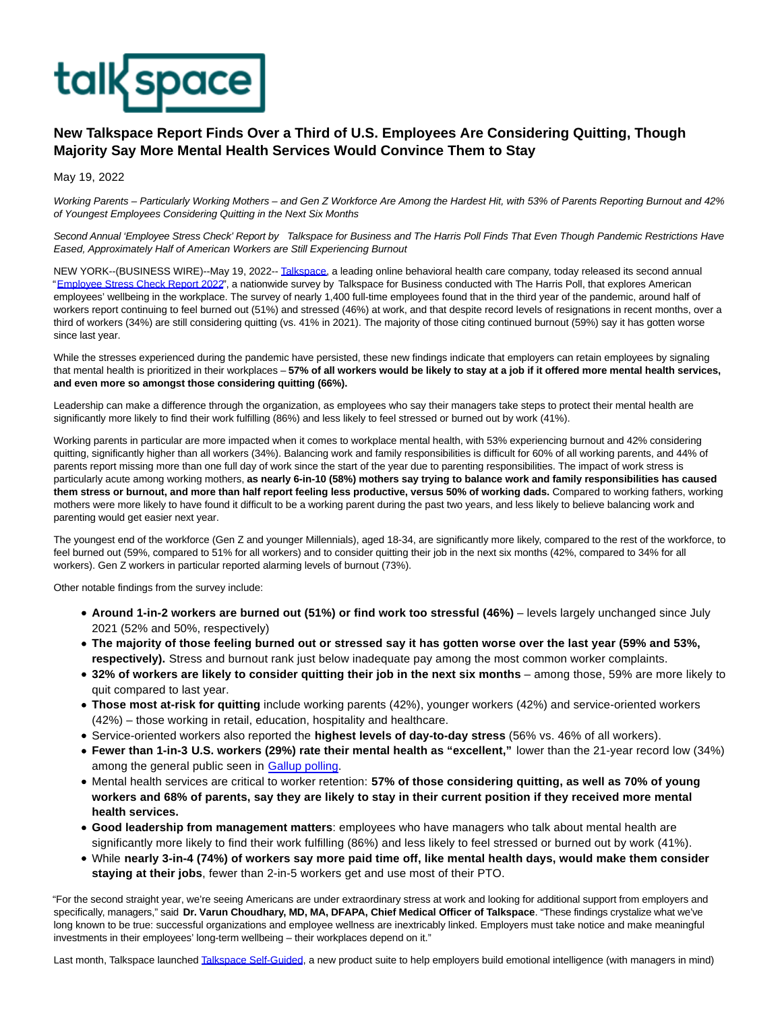

## **New Talkspace Report Finds Over a Third of U.S. Employees Are Considering Quitting, Though Majority Say More Mental Health Services Would Convince Them to Stay**

May 19, 2022

Working Parents – Particularly Working Mothers – and Gen Z Workforce Are Among the Hardest Hit, with 53% of Parents Reporting Burnout and 42% of Youngest Employees Considering Quitting in the Next Six Months

Second Annual 'Employee Stress Check' Report by Talkspace for Business and The Harris Poll Finds That Even Though Pandemic Restrictions Have Eased, Approximately Half of American Workers are Still Experiencing Burnout

NEW YORK--(BUSINESS WIRE)--May 19, 2022-[- Talkspace,](https://cts.businesswire.com/ct/CT?id=smartlink&url=https%3A%2F%2Fwww.talkspace.com%2F&esheet=52723681&newsitemid=20220519005127&lan=en-US&anchor=Talkspace&index=1&md5=2545dc2a0dd70a681c27d50bb231146e) a leading online behavioral health care company, today released its second annual ["Employee Stress Check Report 2022",](https://cts.businesswire.com/ct/CT?id=smartlink&url=https%3A%2F%2Fwww.talkspace.com%2Fresearch%2Fstress-in-the-workplace&esheet=52723681&newsitemid=20220519005127&lan=en-US&anchor=Employee+Stress+Check+Report+2022&index=2&md5=f261735f11d1ab2698d921b1e9f18757) a nationwide survey by Talkspace for Business conducted with The Harris Poll, that explores American employees' wellbeing in the workplace. The survey of nearly 1,400 full-time employees found that in the third year of the pandemic, around half of workers report continuing to feel burned out (51%) and stressed (46%) at work, and that despite record levels of resignations in recent months, over a third of workers (34%) are still considering quitting (vs. 41% in 2021). The majority of those citing continued burnout (59%) say it has gotten worse since last year.

While the stresses experienced during the pandemic have persisted, these new findings indicate that employers can retain employees by signaling that mental health is prioritized in their workplaces – **57% of all workers would be likely to stay at a job if it offered more mental health services, and even more so amongst those considering quitting (66%).**

Leadership can make a difference through the organization, as employees who say their managers take steps to protect their mental health are significantly more likely to find their work fulfilling (86%) and less likely to feel stressed or burned out by work (41%).

Working parents in particular are more impacted when it comes to workplace mental health, with 53% experiencing burnout and 42% considering quitting, significantly higher than all workers (34%). Balancing work and family responsibilities is difficult for 60% of all working parents, and 44% of parents report missing more than one full day of work since the start of the year due to parenting responsibilities. The impact of work stress is particularly acute among working mothers, **as nearly 6-in-10 (58%) mothers say trying to balance work and family responsibilities has caused them stress or burnout, and more than half report feeling less productive, versus 50% of working dads.** Compared to working fathers, working mothers were more likely to have found it difficult to be a working parent during the past two years, and less likely to believe balancing work and parenting would get easier next year.

The youngest end of the workforce (Gen Z and younger Millennials), aged 18-34, are significantly more likely, compared to the rest of the workforce, to feel burned out (59%, compared to 51% for all workers) and to consider quitting their job in the next six months (42%, compared to 34% for all workers). Gen Z workers in particular reported alarming levels of burnout (73%).

Other notable findings from the survey include:

- **Around 1-in-2 workers are burned out (51%) or find work too stressful (46%)** levels largely unchanged since July 2021 (52% and 50%, respectively)
- **The majority of those feeling burned out or stressed say it has gotten worse over the last year (59% and 53%, respectively).** Stress and burnout rank just below inadequate pay among the most common worker complaints.
- **32% of workers are likely to consider quitting their job in the next six months** among those, 59% are more likely to quit compared to last year.
- **Those most at-risk for quitting** include working parents (42%), younger workers (42%) and service-oriented workers (42%) – those working in retail, education, hospitality and healthcare.
- Service-oriented workers also reported the **highest levels of day-to-day stress** (56% vs. 46% of all workers).
- **Fewer than 1-in-3 U.S. workers (29%) rate their mental health as "excellent,"** lower than the 21-year record low (34%) among the general public seen in [Gallup polling.](https://cts.businesswire.com/ct/CT?id=smartlink&url=https%3A%2F%2Fnews.gallup.com%2Fpoll%2F357749%2Fmental-health-rating-remains-below-pre-pandemic-level.aspx&esheet=52723681&newsitemid=20220519005127&lan=en-US&anchor=Gallup+polling&index=3&md5=55b33828ec6dd820839d609b5c6f5f12)
- Mental health services are critical to worker retention: **57% of those considering quitting, as well as 70% of young workers and 68% of parents, say they are likely to stay in their current position if they received more mental health services.**
- **Good leadership from management matters**: employees who have managers who talk about mental health are significantly more likely to find their work fulfilling (86%) and less likely to feel stressed or burned out by work (41%).
- While **nearly 3-in-4 (74%) of workers say more paid time off, like mental health days, would make them consider staying at their jobs**, fewer than 2-in-5 workers get and use most of their PTO.

"For the second straight year, we're seeing Americans are under extraordinary stress at work and looking for additional support from employers and specifically, managers," said **Dr. Varun Choudhary, MD, MA, DFAPA, Chief Medical Officer of Talkspace**. "These findings crystalize what we've long known to be true: successful organizations and employee wellness are inextricably linked. Employers must take notice and make meaningful investments in their employees' long-term wellbeing – their workplaces depend on it."

Last month, Talkspace launched [Talkspace Self-Guided,](https://cts.businesswire.com/ct/CT?id=smartlink&url=https%3A%2F%2Fwww.talkspace.com%2Fself-guided-therapy%2F&esheet=52723681&newsitemid=20220519005127&lan=en-US&anchor=Talkspace+Self-Guided&index=4&md5=c1fcc1c82c83b926ae32dded40f4fc72) a new product suite to help employers build emotional intelligence (with managers in mind)